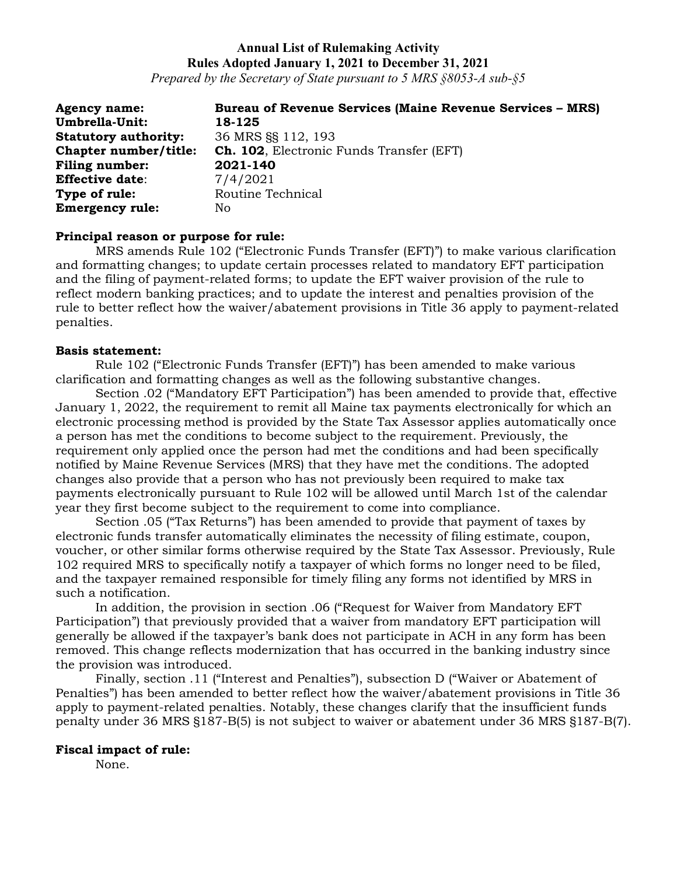*Prepared by the Secretary of State pursuant to 5 MRS §8053-A sub-§5*

| <b>Agency name:</b>         | <b>Bureau of Revenue Services (Maine Revenue Services – MRS)</b> |
|-----------------------------|------------------------------------------------------------------|
| Umbrella-Unit:              | 18-125                                                           |
| <b>Statutory authority:</b> | 36 MRS SS 112, 193                                               |
| Chapter number/title:       | <b>Ch. 102</b> , Electronic Funds Transfer (EFT)                 |
| <b>Filing number:</b>       | 2021-140                                                         |
| <b>Effective date:</b>      | 7/4/2021                                                         |
| Type of rule:               | Routine Technical                                                |
| <b>Emergency rule:</b>      | No                                                               |

#### **Principal reason or purpose for rule:**

MRS amends Rule 102 ("Electronic Funds Transfer (EFT)") to make various clarification and formatting changes; to update certain processes related to mandatory EFT participation and the filing of payment-related forms; to update the EFT waiver provision of the rule to reflect modern banking practices; and to update the interest and penalties provision of the rule to better reflect how the waiver/abatement provisions in Title 36 apply to payment-related penalties.

#### **Basis statement:**

Rule 102 ("Electronic Funds Transfer (EFT)") has been amended to make various clarification and formatting changes as well as the following substantive changes.

Section .02 ("Mandatory EFT Participation") has been amended to provide that, effective January 1, 2022, the requirement to remit all Maine tax payments electronically for which an electronic processing method is provided by the State Tax Assessor applies automatically once a person has met the conditions to become subject to the requirement. Previously, the requirement only applied once the person had met the conditions and had been specifically notified by Maine Revenue Services (MRS) that they have met the conditions. The adopted changes also provide that a person who has not previously been required to make tax payments electronically pursuant to Rule 102 will be allowed until March 1st of the calendar year they first become subject to the requirement to come into compliance.

Section .05 ("Tax Returns") has been amended to provide that payment of taxes by electronic funds transfer automatically eliminates the necessity of filing estimate, coupon, voucher, or other similar forms otherwise required by the State Tax Assessor. Previously, Rule 102 required MRS to specifically notify a taxpayer of which forms no longer need to be filed, and the taxpayer remained responsible for timely filing any forms not identified by MRS in such a notification.

In addition, the provision in section .06 ("Request for Waiver from Mandatory EFT Participation") that previously provided that a waiver from mandatory EFT participation will generally be allowed if the taxpayer's bank does not participate in ACH in any form has been removed. This change reflects modernization that has occurred in the banking industry since the provision was introduced.

Finally, section .11 ("Interest and Penalties"), subsection D ("Waiver or Abatement of Penalties") has been amended to better reflect how the waiver/abatement provisions in Title 36 apply to payment-related penalties. Notably, these changes clarify that the insufficient funds penalty under 36 MRS §187-B(5) is not subject to waiver or abatement under 36 MRS §187-B(7).

#### **Fiscal impact of rule:**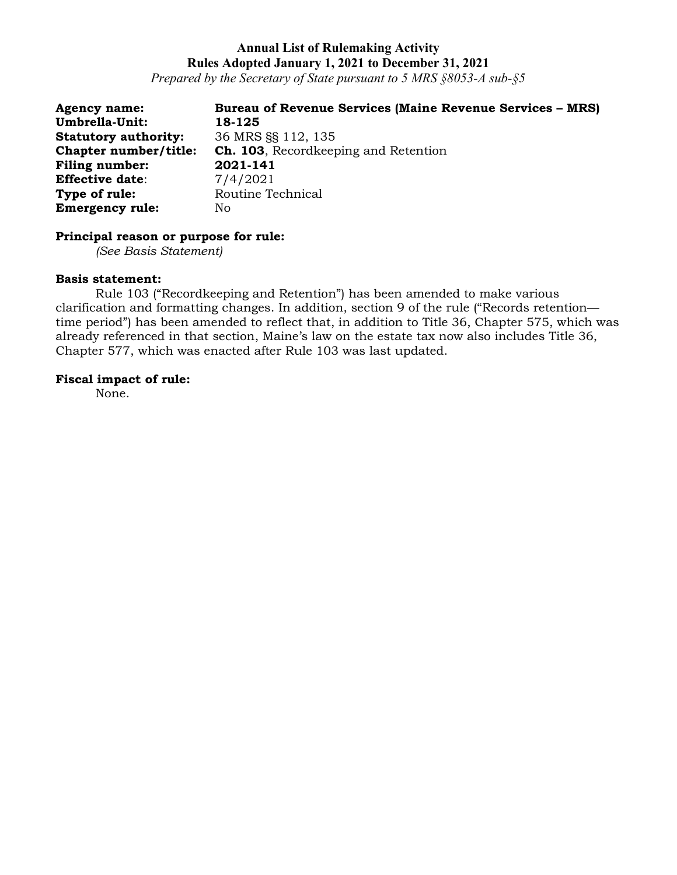*Prepared by the Secretary of State pursuant to 5 MRS §8053-A sub-§5*

| <b>Agency name:</b>         | <b>Bureau of Revenue Services (Maine Revenue Services – MRS)</b> |
|-----------------------------|------------------------------------------------------------------|
| Umbrella-Unit:              | 18-125                                                           |
| <b>Statutory authority:</b> | 36 MRS SS 112, 135                                               |
| Chapter number/title:       | <b>Ch. 103</b> , Recordkeeping and Retention                     |
| <b>Filing number:</b>       | 2021-141                                                         |
| <b>Effective date:</b>      | 7/4/2021                                                         |
| Type of rule:               | Routine Technical                                                |
| <b>Emergency rule:</b>      | No                                                               |

## **Principal reason or purpose for rule:**

*(See Basis Statement)*

#### **Basis statement:**

Rule 103 ("Recordkeeping and Retention") has been amended to make various clarification and formatting changes. In addition, section 9 of the rule ("Records retention time period") has been amended to reflect that, in addition to Title 36, Chapter 575, which was already referenced in that section, Maine's law on the estate tax now also includes Title 36, Chapter 577, which was enacted after Rule 103 was last updated.

#### **Fiscal impact of rule:**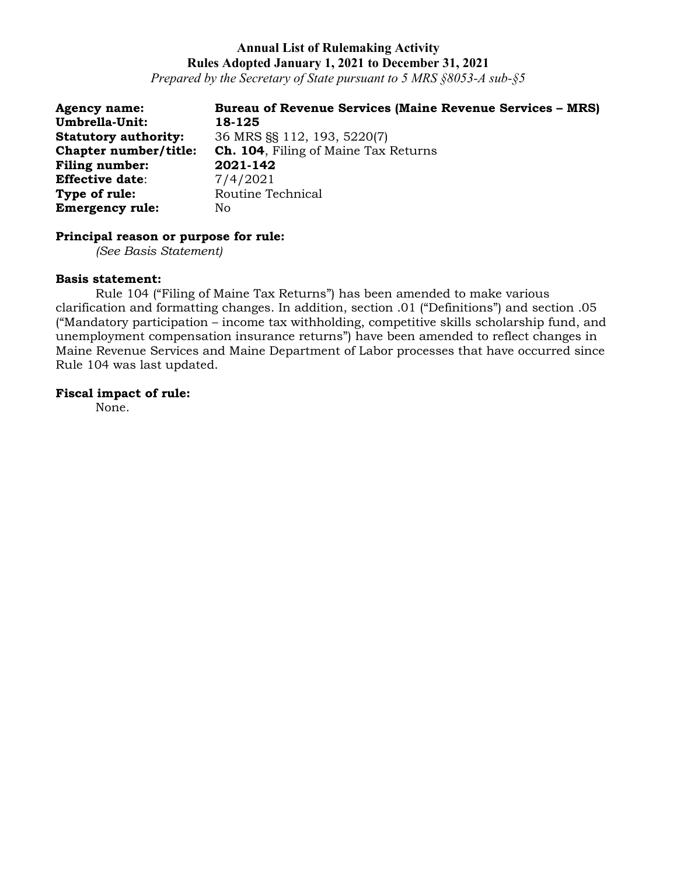*Prepared by the Secretary of State pursuant to 5 MRS §8053-A sub-§5*

| <b>Agency name:</b>          | <b>Bureau of Revenue Services (Maine Revenue Services – MRS)</b> |
|------------------------------|------------------------------------------------------------------|
| Umbrella-Unit:               | 18-125                                                           |
| <b>Statutory authority:</b>  | 36 MRS §§ 112, 193, 5220(7)                                      |
| <b>Chapter number/title:</b> | <b>Ch. 104, Filing of Maine Tax Returns</b>                      |
| <b>Filing number:</b>        | 2021-142                                                         |
| <b>Effective date:</b>       | 7/4/2021                                                         |
| Type of rule:                | Routine Technical                                                |
| <b>Emergency rule:</b>       | No                                                               |

# **Principal reason or purpose for rule:**

*(See Basis Statement)*

#### **Basis statement:**

Rule 104 ("Filing of Maine Tax Returns") has been amended to make various clarification and formatting changes. In addition, section .01 ("Definitions") and section .05 ("Mandatory participation – income tax withholding, competitive skills scholarship fund, and unemployment compensation insurance returns") have been amended to reflect changes in Maine Revenue Services and Maine Department of Labor processes that have occurred since Rule 104 was last updated.

#### **Fiscal impact of rule:**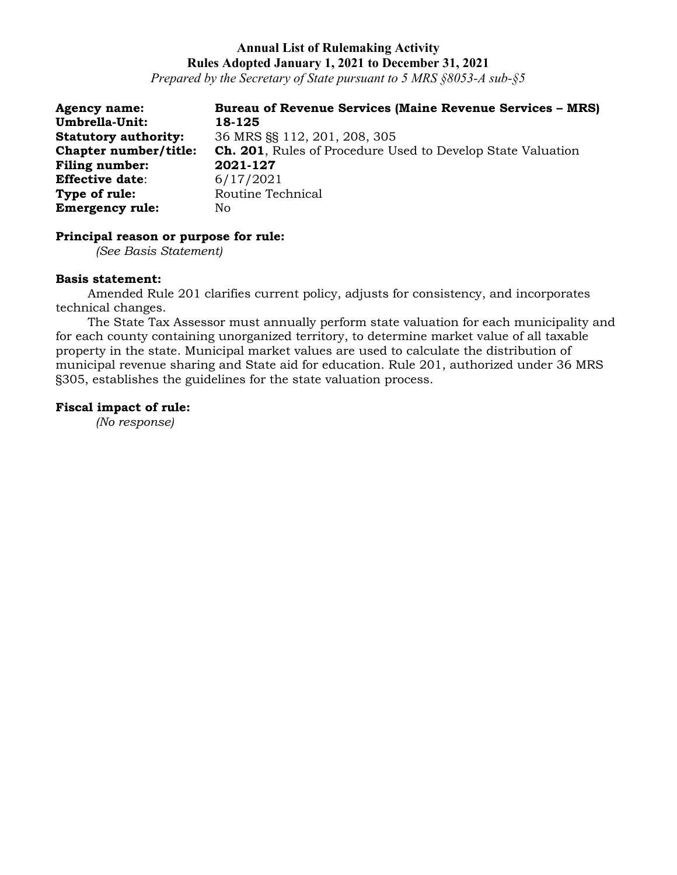*Prepared by the Secretary of State pursuant to 5 MRS §8053-A sub-§5*

**Agency name: Bureau of Revenue Services (Maine Revenue Services – MRS) Umbrella-Unit: 18-125 Statutory authority:** 36 MRS §§ 112, 201, 208, 305 **Chapter number/title: Ch. 201**, Rules of Procedure Used to Develop State Valuation **Filing number: 2021-127 Effective date**: 6/17/2021 **Type of rule:** Routine Technical **Emergency rule:** No

### **Principal reason or purpose for rule:**

*(See Basis Statement)*

#### **Basis statement:**

Amended Rule 201 clarifies current policy, adjusts for consistency, and incorporates technical changes.

The State Tax Assessor must annually perform state valuation for each municipality and for each county containing unorganized territory, to determine market value of all taxable property in the state. Municipal market values are used to calculate the distribution of municipal revenue sharing and State aid for education. Rule 201, authorized under 36 MRS §305, establishes the guidelines for the state valuation process.

#### **Fiscal impact of rule:**

*(No response)*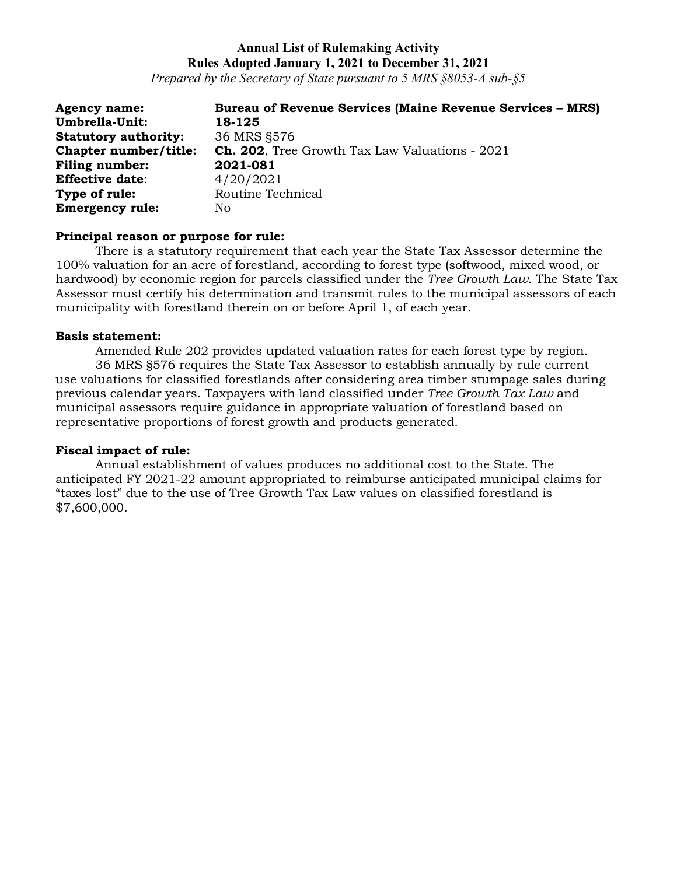*Prepared by the Secretary of State pursuant to 5 MRS §8053-A sub-§5*

| <b>Agency name:</b>          | <b>Bureau of Revenue Services (Maine Revenue Services - MRS)</b> |
|------------------------------|------------------------------------------------------------------|
| Umbrella-Unit:               | 18-125                                                           |
| <b>Statutory authority:</b>  | 36 MRS §576                                                      |
| <b>Chapter number/title:</b> | <b>Ch. 202.</b> Tree Growth Tax Law Valuations - 2021            |
| <b>Filing number:</b>        | 2021-081                                                         |
| <b>Effective date:</b>       | 4/20/2021                                                        |
| Type of rule:                | Routine Technical                                                |
| <b>Emergency rule:</b>       | No                                                               |

#### **Principal reason or purpose for rule:**

There is a statutory requirement that each year the State Tax Assessor determine the 100% valuation for an acre of forestland, according to forest type (softwood, mixed wood, or hardwood) by economic region for parcels classified under the *Tree Growth Law*. The State Tax Assessor must certify his determination and transmit rules to the municipal assessors of each municipality with forestland therein on or before April 1, of each year.

### **Basis statement:**

Amended Rule 202 provides updated valuation rates for each forest type by region. 36 MRS §576 requires the State Tax Assessor to establish annually by rule current use valuations for classified forestlands after considering area timber stumpage sales during previous calendar years. Taxpayers with land classified under *Tree Growth Tax Law* and municipal assessors require guidance in appropriate valuation of forestland based on representative proportions of forest growth and products generated.

### **Fiscal impact of rule:**

Annual establishment of values produces no additional cost to the State. The anticipated FY 2021-22 amount appropriated to reimburse anticipated municipal claims for "taxes lost" due to the use of Tree Growth Tax Law values on classified forestland is \$7,600,000.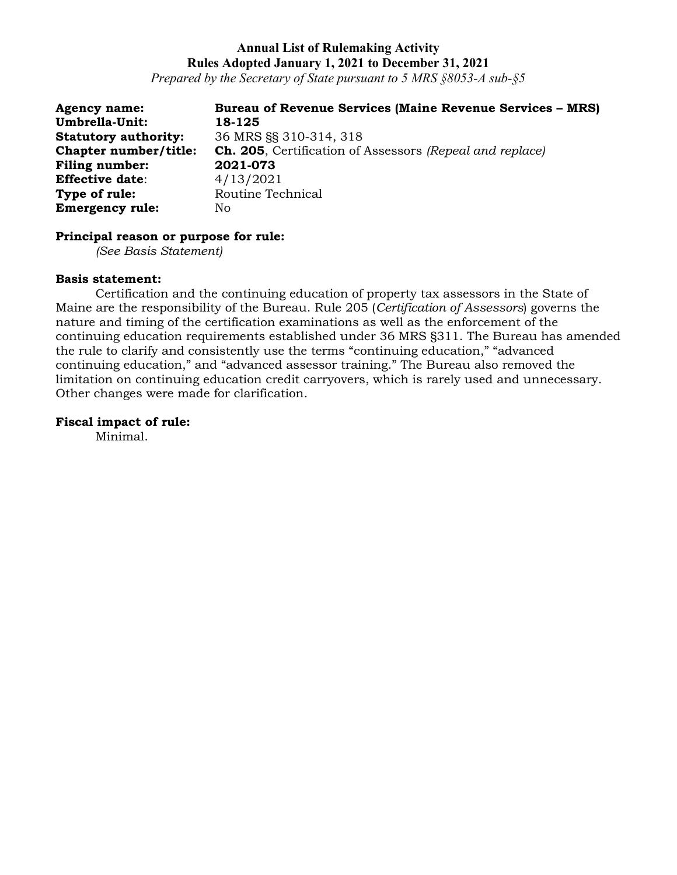*Prepared by the Secretary of State pursuant to 5 MRS §8053-A sub-§5*

| <b>Agency name:</b>         | <b>Bureau of Revenue Services (Maine Revenue Services - MRS)</b> |
|-----------------------------|------------------------------------------------------------------|
| Umbrella-Unit:              | 18-125                                                           |
| <b>Statutory authority:</b> | 36 MRS §§ 310-314, 318                                           |
| Chapter number/title:       | <b>Ch. 205</b> , Certification of Assessors (Repeal and replace) |
| <b>Filing number:</b>       | 2021-073                                                         |
| <b>Effective date:</b>      | 4/13/2021                                                        |
| Type of rule:               | Routine Technical                                                |
| <b>Emergency rule:</b>      | No                                                               |

#### **Principal reason or purpose for rule:**

*(See Basis Statement)*

#### **Basis statement:**

Certification and the continuing education of property tax assessors in the State of Maine are the responsibility of the Bureau. Rule 205 (*Certification of Assessors*) governs the nature and timing of the certification examinations as well as the enforcement of the continuing education requirements established under 36 MRS §311. The Bureau has amended the rule to clarify and consistently use the terms "continuing education," "advanced continuing education," and "advanced assessor training." The Bureau also removed the limitation on continuing education credit carryovers, which is rarely used and unnecessary. Other changes were made for clarification.

### **Fiscal impact of rule:**

Minimal.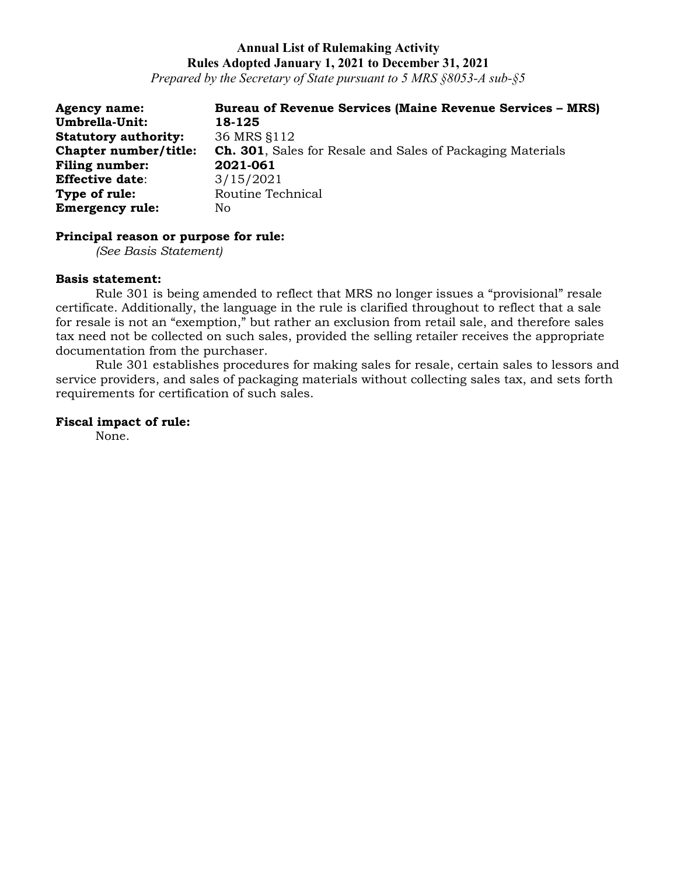*Prepared by the Secretary of State pursuant to 5 MRS §8053-A sub-§5*

| <b>Agency name:</b>          | <b>Bureau of Revenue Services (Maine Revenue Services - MRS)</b>   |
|------------------------------|--------------------------------------------------------------------|
| Umbrella-Unit:               | 18-125                                                             |
| <b>Statutory authority:</b>  | 36 MRS §112                                                        |
| <b>Chapter number/title:</b> | <b>Ch. 301</b> , Sales for Resale and Sales of Packaging Materials |
| Filing number:               | 2021-061                                                           |
| <b>Effective date:</b>       | 3/15/2021                                                          |
| Type of rule:                | Routine Technical                                                  |
| <b>Emergency rule:</b>       | No                                                                 |

### **Principal reason or purpose for rule:**

*(See Basis Statement)*

#### **Basis statement:**

Rule 301 is being amended to reflect that MRS no longer issues a "provisional" resale certificate. Additionally, the language in the rule is clarified throughout to reflect that a sale for resale is not an "exemption," but rather an exclusion from retail sale, and therefore sales tax need not be collected on such sales, provided the selling retailer receives the appropriate documentation from the purchaser.

Rule 301 establishes procedures for making sales for resale, certain sales to lessors and service providers, and sales of packaging materials without collecting sales tax, and sets forth requirements for certification of such sales.

#### **Fiscal impact of rule:**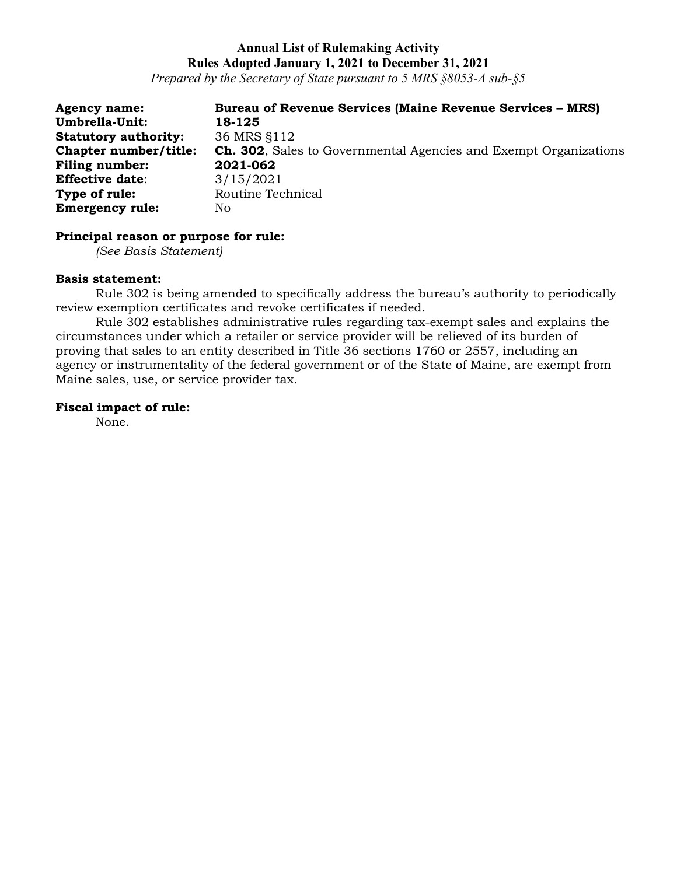*Prepared by the Secretary of State pursuant to 5 MRS §8053-A sub-§5*

| <b>Agency name:</b>          | <b>Bureau of Revenue Services (Maine Revenue Services - MRS)</b>         |
|------------------------------|--------------------------------------------------------------------------|
| <b>Umbrella-Unit:</b>        | 18-125                                                                   |
| <b>Statutory authority:</b>  | 36 MRS \$112                                                             |
| <b>Chapter number/title:</b> | <b>Ch. 302</b> , Sales to Governmental Agencies and Exempt Organizations |
| <b>Filing number:</b>        | 2021-062                                                                 |
| <b>Effective date:</b>       | 3/15/2021                                                                |
| Type of rule:                | Routine Technical                                                        |
| <b>Emergency rule:</b>       | No.                                                                      |

#### **Principal reason or purpose for rule:**

*(See Basis Statement)*

#### **Basis statement:**

Rule 302 is being amended to specifically address the bureau's authority to periodically review exemption certificates and revoke certificates if needed.

Rule 302 establishes administrative rules regarding tax-exempt sales and explains the circumstances under which a retailer or service provider will be relieved of its burden of proving that sales to an entity described in Title 36 sections 1760 or 2557, including an agency or instrumentality of the federal government or of the State of Maine, are exempt from Maine sales, use, or service provider tax.

### **Fiscal impact of rule:**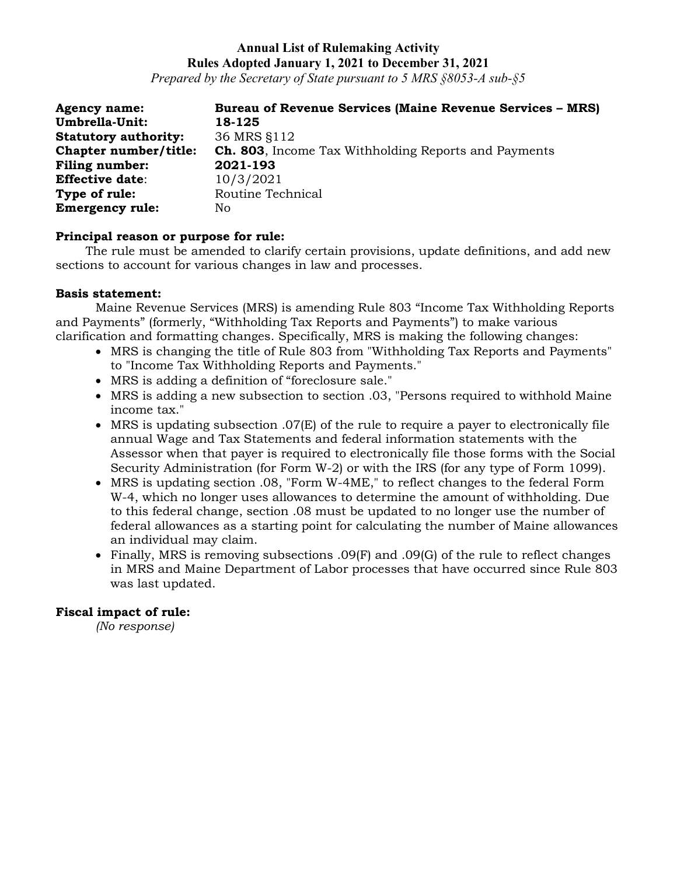*Prepared by the Secretary of State pursuant to 5 MRS §8053-A sub-§5*

| <b>Agency name:</b>          | <b>Bureau of Revenue Services (Maine Revenue Services - MRS)</b> |
|------------------------------|------------------------------------------------------------------|
| Umbrella-Unit:               | 18-125                                                           |
| <b>Statutory authority:</b>  | 36 MRS §112                                                      |
| <b>Chapter number/title:</b> | <b>Ch. 803</b> , Income Tax Withholding Reports and Payments     |
| <b>Filing number:</b>        | 2021-193                                                         |
| <b>Effective date:</b>       | 10/3/2021                                                        |
| Type of rule:                | Routine Technical                                                |
| <b>Emergency rule:</b>       | No                                                               |

### **Principal reason or purpose for rule:**

The rule must be amended to clarify certain provisions, update definitions, and add new sections to account for various changes in law and processes.

### **Basis statement:**

Maine Revenue Services (MRS) is amending Rule 803 "Income Tax Withholding Reports and Payments" (formerly, "Withholding Tax Reports and Payments") to make various clarification and formatting changes. Specifically, MRS is making the following changes:

- MRS is changing the title of Rule 803 from "Withholding Tax Reports and Payments" to "Income Tax Withholding Reports and Payments."
- MRS is adding a definition of "foreclosure sale."
- MRS is adding a new subsection to section .03, "Persons required to withhold Maine income tax."
- MRS is updating subsection .07(E) of the rule to require a payer to electronically file annual Wage and Tax Statements and federal information statements with the Assessor when that payer is required to electronically file those forms with the Social Security Administration (for Form W-2) or with the IRS (for any type of Form 1099).
- MRS is updating section .08, "Form W-4ME," to reflect changes to the federal Form W-4, which no longer uses allowances to determine the amount of withholding. Due to this federal change, section .08 must be updated to no longer use the number of federal allowances as a starting point for calculating the number of Maine allowances an individual may claim.
- Finally, MRS is removing subsections .09(F) and .09(G) of the rule to reflect changes in MRS and Maine Department of Labor processes that have occurred since Rule 803 was last updated.

### **Fiscal impact of rule:**

*(No response)*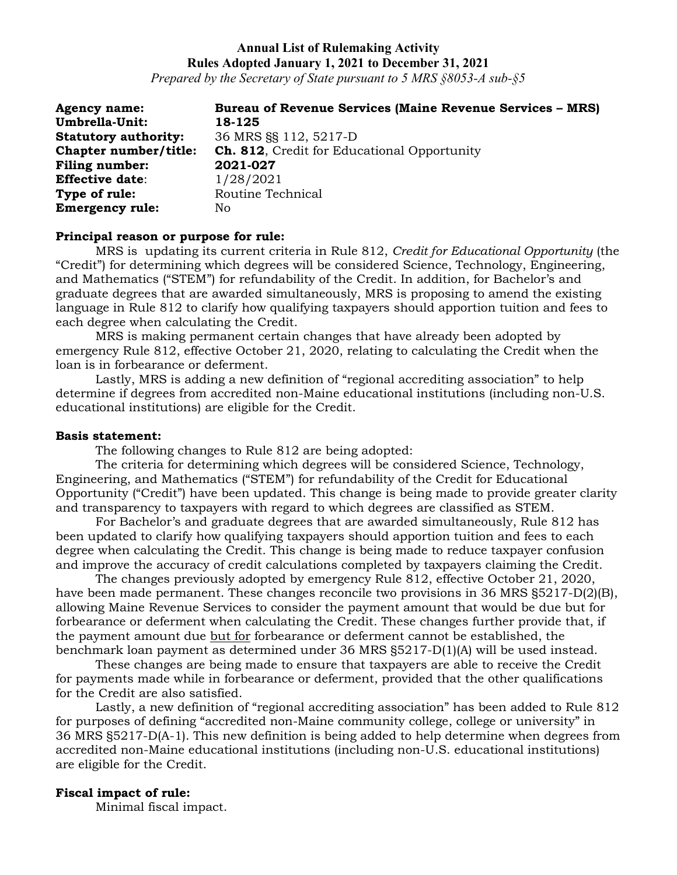*Prepared by the Secretary of State pursuant to 5 MRS §8053-A sub-§5*

| <b>Agency name:</b>         | <b>Bureau of Revenue Services (Maine Revenue Services - MRS)</b> |
|-----------------------------|------------------------------------------------------------------|
| <b>Umbrella-Unit:</b>       | 18-125                                                           |
| <b>Statutory authority:</b> | 36 MRS SS 112, 5217-D                                            |
| Chapter number/title:       | <b>Ch. 812.</b> Credit for Educational Opportunity               |
| <b>Filing number:</b>       | 2021-027                                                         |
| <b>Effective date:</b>      | 1/28/2021                                                        |
| Type of rule:               | Routine Technical                                                |
| <b>Emergency rule:</b>      | No                                                               |

#### **Principal reason or purpose for rule:**

MRS is updating its current criteria in Rule 812, *Credit for Educational Opportunity* (the "Credit") for determining which degrees will be considered Science, Technology, Engineering, and Mathematics ("STEM") for refundability of the Credit. In addition, for Bachelor's and graduate degrees that are awarded simultaneously, MRS is proposing to amend the existing language in Rule 812 to clarify how qualifying taxpayers should apportion tuition and fees to each degree when calculating the Credit.

MRS is making permanent certain changes that have already been adopted by emergency Rule 812, effective October 21, 2020, relating to calculating the Credit when the loan is in forbearance or deferment.

Lastly, MRS is adding a new definition of "regional accrediting association" to help determine if degrees from accredited non-Maine educational institutions (including non-U.S. educational institutions) are eligible for the Credit.

#### **Basis statement:**

The following changes to Rule 812 are being adopted:

The criteria for determining which degrees will be considered Science, Technology, Engineering, and Mathematics ("STEM") for refundability of the Credit for Educational Opportunity ("Credit") have been updated. This change is being made to provide greater clarity and transparency to taxpayers with regard to which degrees are classified as STEM.

For Bachelor's and graduate degrees that are awarded simultaneously, Rule 812 has been updated to clarify how qualifying taxpayers should apportion tuition and fees to each degree when calculating the Credit. This change is being made to reduce taxpayer confusion and improve the accuracy of credit calculations completed by taxpayers claiming the Credit.

The changes previously adopted by emergency Rule 812, effective October 21, 2020, have been made permanent. These changes reconcile two provisions in 36 MRS §5217-D(2)(B), allowing Maine Revenue Services to consider the payment amount that would be due but for forbearance or deferment when calculating the Credit. These changes further provide that, if the payment amount due but for forbearance or deferment cannot be established, the benchmark loan payment as determined under 36 MRS §5217-D(1)(A) will be used instead.

These changes are being made to ensure that taxpayers are able to receive the Credit for payments made while in forbearance or deferment, provided that the other qualifications for the Credit are also satisfied.

Lastly, a new definition of "regional accrediting association" has been added to Rule 812 for purposes of defining "accredited non-Maine community college, college or university" in 36 MRS §5217-D(A-1). This new definition is being added to help determine when degrees from accredited non-Maine educational institutions (including non-U.S. educational institutions) are eligible for the Credit.

#### **Fiscal impact of rule:**

Minimal fiscal impact.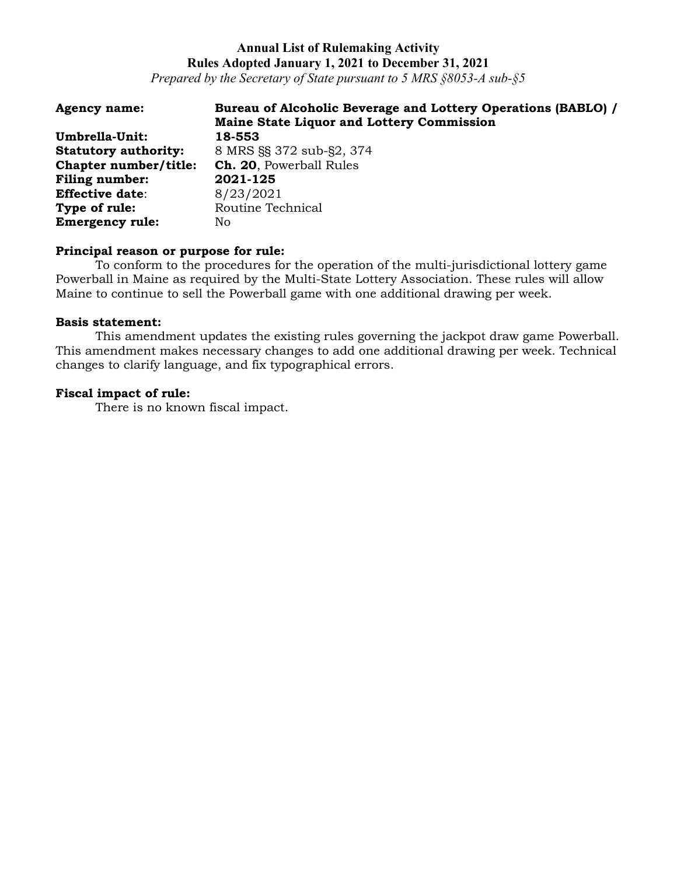*Prepared by the Secretary of State pursuant to 5 MRS §8053-A sub-§5*

| <b>Agency name:</b>         | Bureau of Alcoholic Beverage and Lottery Operations (BABLO) /<br><b>Maine State Liquor and Lottery Commission</b> |
|-----------------------------|-------------------------------------------------------------------------------------------------------------------|
| Umbrella-Unit:              | 18-553                                                                                                            |
| <b>Statutory authority:</b> | 8 MRS SS 372 sub-S2, 374                                                                                          |
| Chapter number/title:       | Ch. 20, Powerball Rules                                                                                           |
| Filing number:              | 2021-125                                                                                                          |
| <b>Effective date:</b>      | 8/23/2021                                                                                                         |
| Type of rule:               | Routine Technical                                                                                                 |
| <b>Emergency rule:</b>      | No.                                                                                                               |

### **Principal reason or purpose for rule:**

To conform to the procedures for the operation of the multi-jurisdictional lottery game Powerball in Maine as required by the Multi-State Lottery Association. These rules will allow Maine to continue to sell the Powerball game with one additional drawing per week.

#### **Basis statement:**

This amendment updates the existing rules governing the jackpot draw game Powerball. This amendment makes necessary changes to add one additional drawing per week. Technical changes to clarify language, and fix typographical errors.

#### **Fiscal impact of rule:**

There is no known fiscal impact.